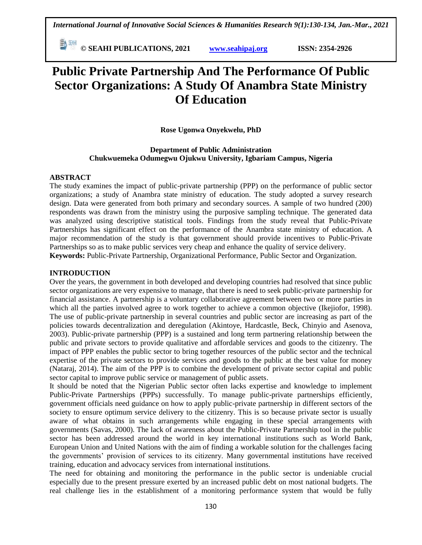**© SEAHI PUBLICATIONS, 2021 [www.seahipaj.org](http://www.seahipaj.org/) ISSN: 2354-2926** 

# **Public Private Partnership And The Performance Of Public Sector Organizations: A Study Of Anambra State Ministry Of Education**

## **Rose Ugonwa Onyekwelu, PhD**

**Department of Public Administration Chukwuemeka Odumegwu Ojukwu University, Igbariam Campus, Nigeria**

#### **ABSTRACT**

The study examines the impact of public-private partnership (PPP) on the performance of public sector organizations; a study of Anambra state ministry of education. The study adopted a survey research design. Data were generated from both primary and secondary sources. A sample of two hundred (200) respondents was drawn from the ministry using the purposive sampling technique. The generated data was analyzed using descriptive statistical tools. Findings from the study reveal that Public-Private Partnerships has significant effect on the performance of the Anambra state ministry of education. A major recommendation of the study is that government should provide incentives to Public-Private Partnerships so as to make public services very cheap and enhance the quality of service delivery. **Keywords:** Public-Private Partnership, Organizational Performance, Public Sector and Organization.

## **INTRODUCTION**

Over the years, the government in both developed and developing countries had resolved that since public sector organizations are very expensive to manage, that there is need to seek public-private partnership for financial assistance. A partnership is a voluntary collaborative agreement between two or more parties in which all the parties involved agree to work together to achieve a common objective (Ikejiofor, 1998). The use of public-private partnership in several countries and public sector are increasing as part of the policies towards decentralization and deregulation (Akintoye, Hardcastle, Beck, Chinyio and Asenova, 2003). Public-private partnership (PPP) is a sustained and long term partnering relationship between the public and private sectors to provide qualitative and affordable services and goods to the citizenry. The impact of PPP enables the public sector to bring together resources of the public sector and the technical expertise of the private sectors to provide services and goods to the public at the best value for money (Nataraj, 2014). The aim of the PPP is to combine the development of private sector capital and public sector capital to improve public service or management of public assets.

It should be noted that the Nigerian Public sector often lacks expertise and knowledge to implement Public-Private Partnerships (PPPs) successfully. To manage public-private partnerships efficiently, government officials need guidance on how to apply public-private partnership in different sectors of the society to ensure optimum service delivery to the citizenry. This is so because private sector is usually aware of what obtains in such arrangements while engaging in these special arrangements with governments (Savas, 2000). The lack of awareness about the Public-Private Partnership tool in the public sector has been addressed around the world in key international institutions such as World Bank, European Union and United Nations with the aim of finding a workable solution for the challenges facing the governments' provision of services to its citizenry. Many governmental institutions have received training, education and advocacy services from international institutions.

The need for obtaining and monitoring the performance in the public sector is undeniable crucial especially due to the present pressure exerted by an increased public debt on most national budgets. The real challenge lies in the establishment of a monitoring performance system that would be fully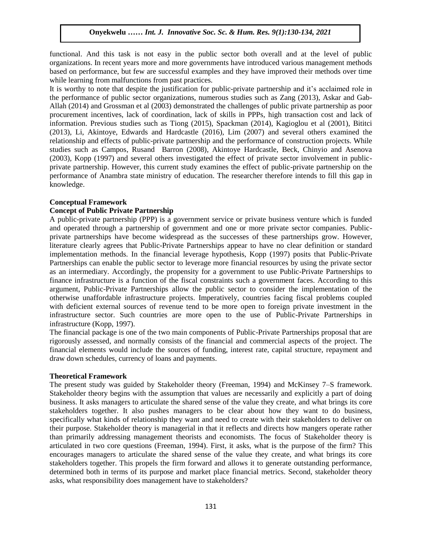## **Onyekwelu** *…… Int. J. Innovative Soc. Sc. & Hum. Res. 9(1):130-134, 2021*

functional. And this task is not easy in the public sector both overall and at the level of public organizations. In recent years more and more governments have introduced various management methods based on performance, but few are successful examples and they have improved their methods over time while learning from malfunctions from past practices.

It is worthy to note that despite the justification for public-private partnership and it's acclaimed role in the performance of public sector organizations, numerous studies such as Zang (2013), Askar and Gab-Allah (2014) and Grossman et al (2003) demonstrated the challenges of public private partnership as poor procurement incentives, lack of coordination, lack of skills in PPPs, high transaction cost and lack of information. Previous studies such as Tiong (2015), Spackman (2014), Kagioglou et al (2001), Bititci (2013), Li, Akintoye, Edwards and Hardcastle (2016), Lim (2007) and several others examined the relationship and effects of public-private partnership and the performance of construction projects. While studies such as Campos, Rusand Barron (2008), Akintoye Hardcastle, Beck, Chinyio and Asenova (2003), Kopp (1997) and several others investigated the effect of private sector involvement in publicprivate partnership. However, this current study examines the effect of public-private partnership on the performance of Anambra state ministry of education. The researcher therefore intends to fill this gap in knowledge.

#### **Conceptual Framework**

## **Concept of Public Private Partnership**

A public-private partnership (PPP) is a government service or private business venture which is funded and operated through a partnership of government and one or more private sector companies. Publicprivate partnerships have become widespread as the successes of these partnerships grow. However, literature clearly agrees that Public-Private Partnerships appear to have no clear definition or standard implementation methods. In the financial leverage hypothesis, Kopp (1997) posits that Public-Private Partnerships can enable the public sector to leverage more financial resources by using the private sector as an intermediary. Accordingly, the propensity for a government to use Public-Private Partnerships to finance infrastructure is a function of the fiscal constraints such a government faces. According to this argument, Public-Private Partnerships allow the public sector to consider the implementation of the otherwise unaffordable infrastructure projects. Imperatively, countries facing fiscal problems coupled with deficient external sources of revenue tend to be more open to foreign private investment in the infrastructure sector. Such countries are more open to the use of Public-Private Partnerships in infrastructure (Kopp, 1997).

The financial package is one of the two main components of Public-Private Partnerships proposal that are rigorously assessed, and normally consists of the financial and commercial aspects of the project. The financial elements would include the sources of funding, interest rate, capital structure, repayment and draw down schedules, currency of loans and payments.

#### **Theoretical Framework**

The present study was guided by Stakeholder theory (Freeman, 1994) and McKinsey 7–S framework. Stakeholder theory begins with the assumption that values are necessarily and explicitly a part of doing business. It asks managers to articulate the shared sense of the value they create, and what brings its core stakeholders together. It also pushes managers to be clear about how they want to do business, specifically what kinds of relationship they want and need to create with their stakeholders to deliver on their purpose. Stakeholder theory is managerial in that it reflects and directs how mangers operate rather than primarily addressing management theorists and economists. The focus of Stakeholder theory is articulated in two core questions (Freeman, 1994). First, it asks, what is the purpose of the firm? This encourages managers to articulate the shared sense of the value they create, and what brings its core stakeholders together. This propels the firm forward and allows it to generate outstanding performance, determined both in terms of its purpose and market place financial metrics. Second, stakeholder theory asks, what responsibility does management have to stakeholders?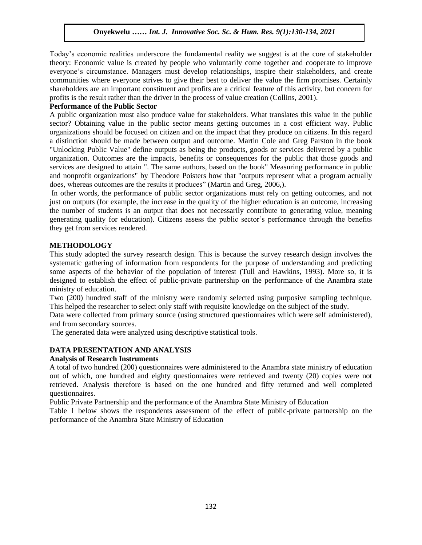## **Onyekwelu** *…… Int. J. Innovative Soc. Sc. & Hum. Res. 9(1):130-134, 2021*

Today's economic realities underscore the fundamental reality we suggest is at the core of stakeholder theory: Economic value is created by people who voluntarily come together and cooperate to improve everyone's circumstance. Managers must develop relationships, inspire their stakeholders, and create communities where everyone strives to give their best to deliver the value the firm promises. Certainly shareholders are an important constituent and profits are a critical feature of this activity, but concern for profits is the result rather than the driver in the process of value creation (Collins, 2001).

#### **Performance of the Public Sector**

A public organization must also produce value for stakeholders. What translates this value in the public sector? Obtaining value in the public sector means getting outcomes in a cost efficient way. Public organizations should be focused on citizen and on the impact that they produce on citizens. In this regard a distinction should be made between output and outcome. Martin Cole and Greg Parston in the book "Unlocking Public Value" define outputs as being the products, goods or services delivered by a public organization. Outcomes are the impacts, benefits or consequences for the public that those goods and services are designed to attain ". The same authors, based on the book" Measuring performance in public and nonprofit organizations" by Theodore Poisters how that "outputs represent what a program actually does, whereas outcomes are the results it produces" (Martin and Greg, 2006,).

In other words, the performance of public sector organizations must rely on getting outcomes, and not just on outputs (for example, the increase in the quality of the higher education is an outcome, increasing the number of students is an output that does not necessarily contribute to generating value, meaning generating quality for education). Citizens assess the public sector's performance through the benefits they get from services rendered.

#### **METHODOLOGY**

This study adopted the survey research design. This is because the survey research design involves the systematic gathering of information from respondents for the purpose of understanding and predicting some aspects of the behavior of the population of interest (Tull and Hawkins, 1993). More so, it is designed to establish the effect of public-private partnership on the performance of the Anambra state ministry of education.

Two (200) hundred staff of the ministry were randomly selected using purposive sampling technique. This helped the researcher to select only staff with requisite knowledge on the subject of the study.

Data were collected from primary source (using structured questionnaires which were self administered), and from secondary sources.

The generated data were analyzed using descriptive statistical tools.

## **DATA PRESENTATION AND ANALYSIS**

## **Analysis of Research Instruments**

A total of two hundred (200) questionnaires were administered to the Anambra state ministry of education out of which, one hundred and eighty questionnaires were retrieved and twenty (20) copies were not retrieved. Analysis therefore is based on the one hundred and fifty returned and well completed questionnaires.

Public Private Partnership and the performance of the Anambra State Ministry of Education

Table 1 below shows the respondents assessment of the effect of public-private partnership on the performance of the Anambra State Ministry of Education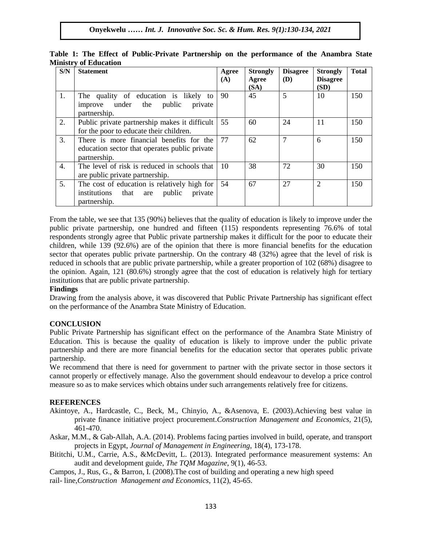| S/N | <b>Statement</b>                                                                                                 | Agree<br>(A) | <b>Strongly</b><br>Agree | <b>Disagree</b><br>(D) | <b>Strongly</b><br><b>Disagree</b> | <b>Total</b> |
|-----|------------------------------------------------------------------------------------------------------------------|--------------|--------------------------|------------------------|------------------------------------|--------------|
|     |                                                                                                                  |              | (SA)                     |                        | (SD)                               |              |
| 1.  | The quality of education is likely to<br>improve under the public<br>private<br>partnership.                     | 90           | 45                       | 5                      | 10                                 | 150          |
| 2.  | Public private partnership makes it difficult<br>for the poor to educate their children.                         | 55           | 60                       | 24                     | 11                                 | 150          |
| 3.  | There is more financial benefits for the<br>education sector that operates public private<br>partnership.        | 77           | 62                       | 7                      | 6                                  | 150          |
| 4.  | The level of risk is reduced in schools that<br>are public private partnership.                                  | 10           | 38                       | 72                     | 30                                 | 150          |
| 5.  | The cost of education is relatively high for<br>institutions<br>public<br>that<br>private<br>are<br>partnership. | 54           | 67                       | 27                     | $\overline{2}$                     | 150          |

**Table 1: The Effect of Public-Private Partnership on the performance of the Anambra State Ministry of Education**

From the table, we see that 135 (90%) believes that the quality of education is likely to improve under the public private partnership, one hundred and fifteen (115) respondents representing 76.6% of total respondents strongly agree that Public private partnership makes it difficult for the poor to educate their children, while 139 (92.6%) are of the opinion that there is more financial benefits for the education sector that operates public private partnership. On the contrary 48 (32%) agree that the level of risk is reduced in schools that are public private partnership, while a greater proportion of 102 (68%) disagree to the opinion. Again, 121 (80.6%) strongly agree that the cost of education is relatively high for tertiary institutions that are public private partnership.

## **Findings**

Drawing from the analysis above, it was discovered that Public Private Partnership has significant effect on the performance of the Anambra State Ministry of Education.

# **CONCLUSION**

Public Private Partnership has significant effect on the performance of the Anambra State Ministry of Education. This is because the quality of education is likely to improve under the public private partnership and there are more financial benefits for the education sector that operates public private partnership.

We recommend that there is need for government to partner with the private sector in those sectors it cannot properly or effectively manage. Also the government should endeavour to develop a price control measure so as to make services which obtains under such arrangements relatively free for citizens.

# **REFERENCES**

Akintoye, A., Hardcastle, C., Beck, M., Chinyio, A., &Asenova, E. (2003).Achieving best value in private finance initiative project procurement.*Construction Management and Economics,* 21(5), 461-470.

Askar, M.M., & Gab-Allah, A.A. (2014). Problems facing parties involved in build, operate, and transport projects in Egypt, *Journal of Management in Engineering*, 18(4), 173-178.

Bititchi, U.M., Carrie, A.S., &McDevitt, L. (2013). Integrated performance measurement systems: An audit and development guide, *The TQM Magazine*, 9(1), 46-53.

Campos, J., Rus, G., & Barron, I. (2008).The cost of building and operating a new high speed rail- line,*Construction Management and Economics*, 11(2), 45-65.